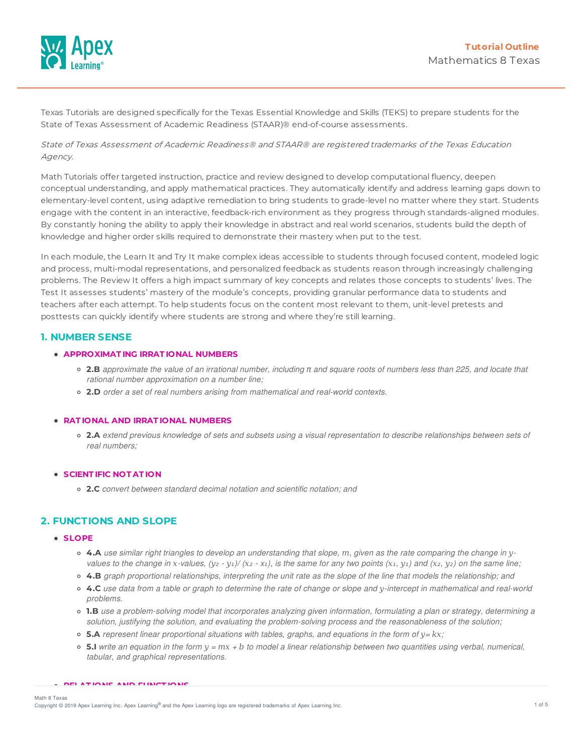

Texas Tutorials are designed specifically for the Texas Essential Knowledge and Skills (TEKS) to prepare students for the State of Texas Assessment of Academic Readiness (STAAR)® end-of-course assessments.

State of Texas Assessment of Academic Readiness® and STAAR® are registered trademarks of the Texas Education Agency.

Math Tutorials offer targeted instruction, practice and review designed to develop computational fluency, deepen conceptual understanding, and apply mathematical practices. They automatically identify and address learning gaps down to elementary-level content, using adaptive remediation to bring students to grade-level no matter where they start. Students engage with the content in an interactive, feedback-rich environment as they progress through standards-aligned modules. By constantly honing the ability to apply their knowledge in abstract and real world scenarios, students build the depth of knowledge and higher order skills required to demonstrate their mastery when put to the test.

In each module, the Learn It and Try It make complex ideas accessible to students through focused content, modeled logic and process, multi-modal representations, and personalized feedback as students reason through increasingly challenging problems. The Review It offers a high impact summary of key concepts and relates those concepts to students' lives. The Test It assesses students' mastery of the module's concepts, providing granular performance data to students and teachers after each attempt. To help students focus on the content most relevant to them, unit-level pretests and posttests can quickly identify where students are strong and where they're still learning.

## **1. NUMBER SENSE**

### **APPROXIMAT ING IRRAT IONAL NUMBERS**

- $\circ$  2.B approximate the value of an irrational number, including  $\pi$  and square roots of numbers less than 225, and locate that *rational number approximation on a number line;*
- **2.D** *order a set of real numbers arising from mathematical and real-world contexts.*

#### **RAT IONAL AND IRRAT IONAL NUMBERS**

o 2.A extend previous knowledge of sets and subsets using a visual representation to describe relationships between sets of *real numbers;*

#### **SCIENT IFIC NOT AT ION**

**2.C** *convert between standard decimal notation and scientific notation; and*

## **2. FUNCTIONS AND SLOPE**

#### **SLOPE**

- 4.A use similar right triangles to develop an understanding that slope, m, given as the rate comparing the change in yvalues to the change in x-values,  $(y_2 - y_1)/(x_2 - x_1)$ , is the same for any two points  $(x_1, y_1)$  and  $(x_2, y_2)$  on the same line;
- 4.B graph proportional relationships, interpreting the unit rate as the slope of the line that models the relationship; and
- 4.C use data from a table or graph to determine the rate of change or slope and y-intercept in mathematical and real-world *problems.*
- o 1.B use a problem-solving model that incorporates analyzing given information, formulating a plan or strategy, determining a *solution, justifying the solution, and evaluating the problem-solving process and the reasonableness of the solution;*
- **5.A** *represent linear proportional situations with tables, graphs, and equations in the form of -= ;*
- **5.I** write an equation in the form  $y = mx + b$  to model a linear relationship between two quantities using verbal, numerical, *tabular, and graphical representations.*

**RELAT IONS AND FUNCT IONS**

Math 8 Texas

Copyright © 2019 Apex Learning Inc. Apex Learning® and the Apex Learning logo are registered trademarks of Apex Learning Inc. <br>Copyright © 2019 Apex Learning Inc. Apex Learning® and the Apex Learning Iogo are registered tr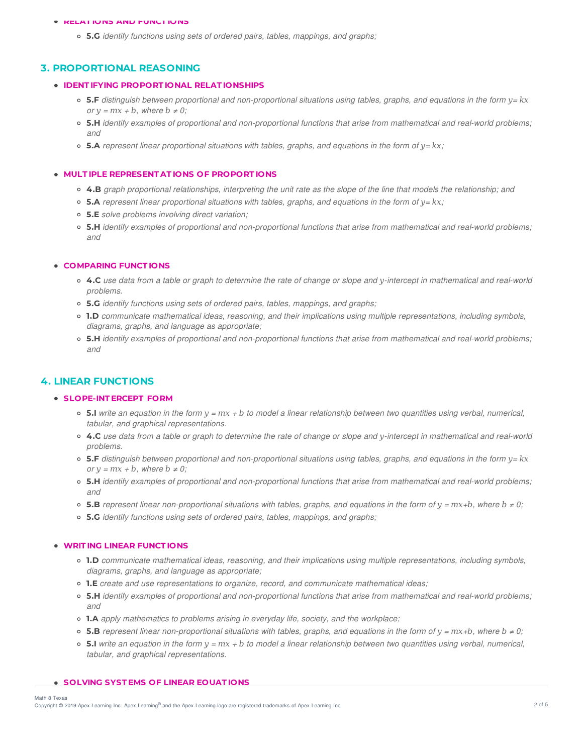#### **RELAT IONS AND FUNCT IONS**

**5.G** *identify functions using sets of ordered pairs, tables, mappings, and graphs;*

### **3. PROPORTIONAL REASONING**

#### **IDENT IFYING PROPORT IONAL RELAT IONSHIPS**

- **5.F** distinguish between proportional and non-proportional situations using tables, graphs, and equations in the form y= kx *or*  $y = mx + b$ *, where*  $b \neq 0$ *;*
- 5.H identify examples of proportional and non-proportional functions that arise from mathematical and real-world problems; *and*
- **5.A** *represent linear proportional situations with tables, graphs, and equations in the form of -= ;*

#### **MULT IPLE REPRESENT AT IONS OF PROPORT IONS**

- 4.B graph proportional relationships, interpreting the unit rate as the slope of the line that models the relationship; and
- **5.A** *represent linear proportional situations with tables, graphs, and equations in the form of -= ;*
- **5.E** *solve problems involving direct variation;*
- 5.H identify examples of proportional and non-proportional functions that arise from mathematical and real-world problems; *and*

#### **COMPARING FUNCT IONS**

- 4.C use data from a table or graph to determine the rate of change or slope and y-intercept in mathematical and real-world *problems.*
- **5.G** *identify functions using sets of ordered pairs, tables, mappings, and graphs;*
- **1.D** *communicate mathematical ideas, reasoning, and their implications using multiple representations, including symbols, diagrams, graphs, and language as appropriate;*
- 5.H identify examples of proportional and non-proportional functions that arise from mathematical and real-world problems; *and*

### **4. LINEAR FUNCTIONS**

### **SLOPE-INT ERCEPT FORM**

- **5.I** write an equation in the form  $y = mx + b$  to model a linear relationship between two quantities using verbal, numerical, *tabular, and graphical representations.*
- 4.C use data from a table or graph to determine the rate of change or slope and y-intercept in mathematical and real-world *problems.*
- **5.F** distinguish between proportional and non-proportional situations using tables, graphs, and equations in the form y= kx *or*  $y = mx + b$ *, where*  $b \neq 0$ *;*
- 5.H identify examples of proportional and non-proportional functions that arise from mathematical and real-world problems; *and*
- **5.B** represent linear non-proportional situations with tables, graphs, and equations in the form of  $y = mx + b$ , where  $b \neq 0$ ;
- **5.G** *identify functions using sets of ordered pairs, tables, mappings, and graphs;*

#### **WRIT ING LINEAR FUNCT IONS**

- **1.D** *communicate mathematical ideas, reasoning, and their implications using multiple representations, including symbols, diagrams, graphs, and language as appropriate;*
- **1.E** *create and use representations to organize, record, and communicate mathematical ideas;*
- 5.H identify examples of proportional and non-proportional functions that arise from mathematical and real-world problems; *and*
- **1.A** *apply mathematics to problems arising in everyday life, society, and the workplace;*
- **5.B** represent linear non-proportional situations with tables, graphs, and equations in the form of  $y = mx + b$ , where  $b \neq 0$ ;
- **5.I** write an equation in the form  $y = mx + b$  to model a linear relationship between two quantities using verbal, numerical, *tabular, and graphical representations.*

## **SOLVING SYST EMS OF LINEAR EQUAT IONS**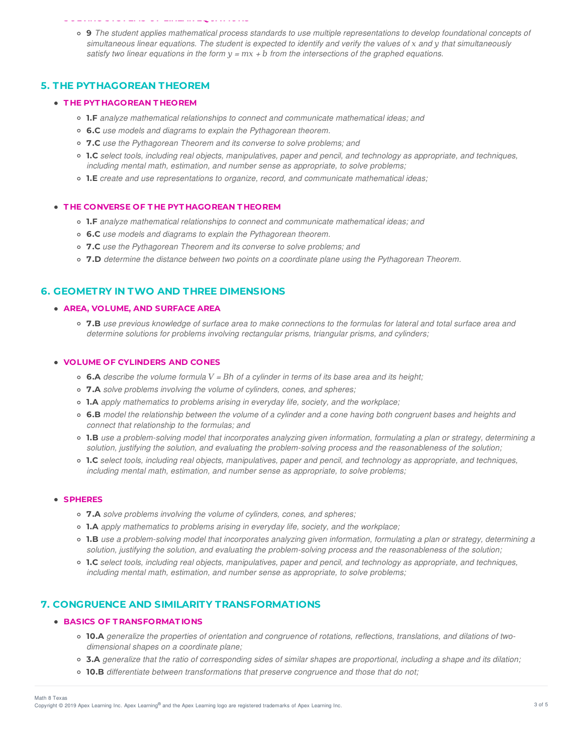#### **SOLVING SYST EMS OF LINEAR EQUAT IONS**

• 9 The student applies mathematical process standards to use multiple representations to develop foundational concepts of simultaneous linear equations. The student is expected to identify and verify the values of x and y that simultaneously satisfy *two* linear equations in the form  $y = mx + b$  from the intersections of the graphed equations.

## **5. THE PYTHAGOREAN THEOREM**

#### **T HE PYT HAGOREAN T HEOREM**

- **1.F** *analyze mathematical relationships to connect and communicate mathematical ideas; and*
- **6.C** *use models and diagrams to explain the Pythagorean theorem.*
- **7.C** *use the Pythagorean Theorem and its converse to solve problems; and*
- o 1.C select tools, including real objects, manipulatives, paper and pencil, and technology as appropriate, and techniques, *including mental math, estimation, and number sense as appropriate, to solve problems;*
- **1.E** *create and use representations to organize, record, and communicate mathematical ideas;*

#### **T HE CONVERSE OF T HE PYT HAGOREAN T HEOREM**

- **1.F** *analyze mathematical relationships to connect and communicate mathematical ideas; and*
- **6.C** *use models and diagrams to explain the Pythagorean theorem.*
- **7.C** *use the Pythagorean Theorem and its converse to solve problems; and*
- **7.D** *determine the distance between two points on a coordinate plane using the Pythagorean Theorem.*

## **6. GEOMETRY IN TWO AND THREE DIMENSIONS**

#### **AREA, VOLUME, AND SURFACE AREA**

• 7.B use previous knowledge of surface area to make connections to the formulas for lateral and total surface area and *determine solutions for problems involving rectangular prisms, triangular prisms, and cylinders;*

#### **VOLUME OF CYLINDERS AND CONES**

- $\circ$  **6.A** describe the volume formula  $V = Bh$  of a cylinder in terms of its base area and its height;
- **7.A** *solve problems involving the volume of cylinders, cones, and spheres;*
- **1.A** *apply mathematics to problems arising in everyday life, society, and the workplace;*
- 6.B model the relationship between the volume of a cylinder and a cone having both congruent bases and heights and *connect that relationship to the formulas; and*
- 1.B use a problem-solving model that incorporates analyzing given information, formulating a plan or strategy, determining a *solution, justifying the solution, and evaluating the problem-solving process and the reasonableness of the solution;*
- 1.C select tools, including real objects, manipulatives, paper and pencil, and technology as appropriate, and techniques, *including mental math, estimation, and number sense as appropriate, to solve problems;*

#### **SPHERES**

- **7.A** *solve problems involving the volume of cylinders, cones, and spheres;*
- **1.A** *apply mathematics to problems arising in everyday life, society, and the workplace;*
- o 1.B use a problem-solving model that incorporates analyzing given information, formulating a plan or strategy, determining a *solution, justifying the solution, and evaluating the problem-solving process and the reasonableness of the solution;*
- 1.C select tools, including real objects, manipulatives, paper and pencil, and technology as appropriate, and techniques, *including mental math, estimation, and number sense as appropriate, to solve problems;*

## **7. CONGRUENCE AND SIMILARITY TRANSFORMATIONS**

#### **BASICS OF T RANSFORMAT IONS**

- o 10.A generalize the properties of orientation and congruence of rotations, reflections, translations, and dilations of two*dimensional shapes on a coordinate plane;*
- 3.A generalize that the ratio of corresponding sides of similar shapes are proportional, including a shape and its dilation;
- **10.B** *differentiate between transformations that preserve congruence and those that do not;*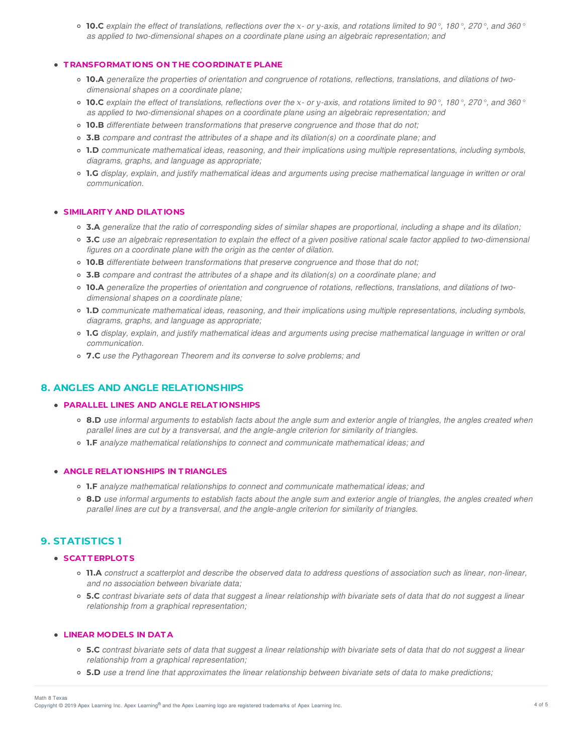**10.C** explain the effect of translations, reflections over the x- or y-axis, and rotations limited to 90°, 180°, 270°, and 360° *as applied to two-dimensional shapes on a coordinate plane using an algebraic representation; and*

#### **T RANSFORMAT IONS ON T HE COORDINAT E PLANE**

- o 10.A generalize the properties of orientation and congruence of rotations, reflections, translations, and dilations of two*dimensional shapes on a coordinate plane;*
- **10.C** explain the effect of translations, reflections over the x- or y-axis, and rotations limited to 90°, 180°, 270°, and 360° *as applied to two-dimensional shapes on a coordinate plane using an algebraic representation; and*
- **10.B** *differentiate between transformations that preserve congruence and those that do not;*
- **3.B** *compare and contrast the attributes of a shape and its dilation(s) on a coordinate plane; and*
- **1.D** *communicate mathematical ideas, reasoning, and their implications using multiple representations, including symbols, diagrams, graphs, and language as appropriate;*
- o 1.G display, explain, and justify mathematical ideas and arguments using precise mathematical language in written or oral *communication.*

### **SIMILARIT Y AND DILAT IONS**

- **3.A** generalize that the ratio of corresponding sides of similar shapes are proportional, including a shape and its dilation;
- 3.C use an algebraic representation to explain the effect of a given positive rational scale factor applied to two-dimensional *figures on a coordinate plane with the origin as the center of dilation.*
- **10.B** *differentiate between transformations that preserve congruence and those that do not;*
- **3.B** *compare and contrast the attributes of a shape and its dilation(s) on a coordinate plane; and*
- o 10.A generalize the properties of orientation and congruence of rotations, reflections, translations, and dilations of two*dimensional shapes on a coordinate plane;*
- **1.D** *communicate mathematical ideas, reasoning, and their implications using multiple representations, including symbols, diagrams, graphs, and language as appropriate;*
- o 1.G display, explain, and justify mathematical ideas and arguments using precise mathematical language in written or oral *communication.*
- **7.C** *use the Pythagorean Theorem and its converse to solve problems; and*

## **8. ANGLES AND ANGLE RELATIONSHIPS**

#### **PARALLEL LINES AND ANGLE RELAT IONSHIPS**

- 8.D use informal arguments to establish facts about the angle sum and exterior angle of triangles, the angles created when *parallel lines are cut by a transversal, and the angle-angle criterion for similarity of triangles.*
- **1.F** *analyze mathematical relationships to connect and communicate mathematical ideas; and*

### **ANGLE RELAT IONSHIPS IN T RIANGLES**

- **1.F** *analyze mathematical relationships to connect and communicate mathematical ideas; and*
- 8.D use informal arguments to establish facts about the angle sum and exterior angle of triangles, the angles created when *parallel lines are cut by a transversal, and the angle-angle criterion for similarity of triangles.*

## **9. STATISTICS 1**

#### **SCAT T ERPLOT S**

- 11.A construct a scatterplot and describe the observed data to address questions of association such as linear, non-linear, *and no association between bivariate data;*
- 5.C contrast bivariate sets of data that suggest a linear relationship with bivariate sets of data that do not suggest a linear *relationship from a graphical representation;*

### **LINEAR MODELS IN DAT A**

- o 5.C contrast bivariate sets of data that suggest a linear relationship with bivariate sets of data that do not suggest a linear *relationship from a graphical representation;*
- 5.D use a trend line that approximates the linear relationship between bivariate sets of data to make predictions;

#### Math 8 Texas

Copyright © 2019 Apex Learning Inc. Apex Learning® and the Apex Learning logo are registered trademarks of Apex Learning Inc. 4 of 5